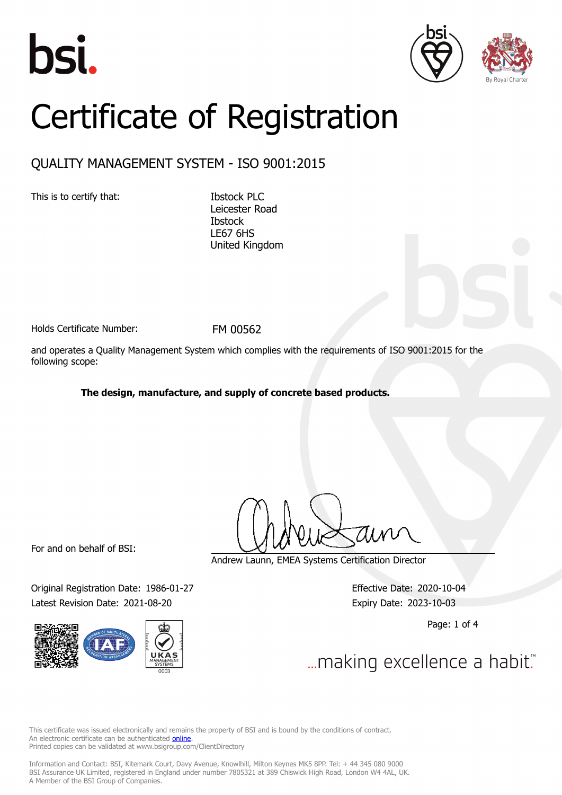





# Certificate of Registration

## QUALITY MANAGEMENT SYSTEM - ISO 9001:2015

This is to certify that: Ibstock PLC

Leicester Road **Ibstock** LE67 6HS United Kingdom

Holds Certificate Number: FM 00562

and operates a Quality Management System which complies with the requirements of ISO 9001:2015 for the following scope:

**The design, manufacture, and supply of concrete based products.**

For and on behalf of BSI:

Original Registration Date: 1986-01-27 Effective Date: 2020-10-04 Latest Revision Date: 2021-08-20 **Expiry Date: 2023-10-03** 



Andrew Launn, EMEA Systems Certification Director

Page: 1 of 4

... making excellence a habit."

This certificate was issued electronically and remains the property of BSI and is bound by the conditions of contract. An electronic certificate can be authenticated **[online](https://pgplus.bsigroup.com/CertificateValidation/CertificateValidator.aspx?CertificateNumber=FM+00562&ReIssueDate=20%2f08%2f2021&Template=uk)**. Printed copies can be validated at www.bsigroup.com/ClientDirectory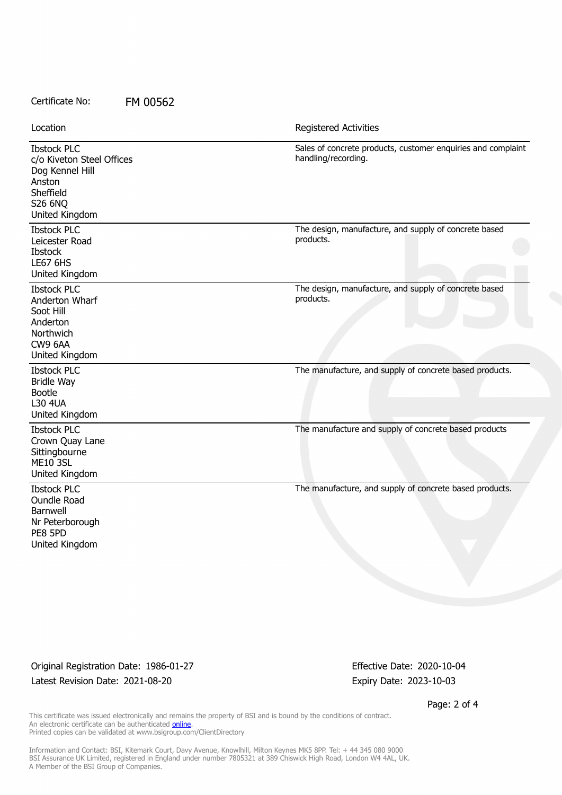#### Certificate No: FM 00562

| Location                                                                                                               | Registered Activities                                                               |
|------------------------------------------------------------------------------------------------------------------------|-------------------------------------------------------------------------------------|
| <b>Ibstock PLC</b><br>c/o Kiveton Steel Offices<br>Dog Kennel Hill<br>Anston<br>Sheffield<br>S26 6NQ<br>United Kingdom | Sales of concrete products, customer enquiries and complaint<br>handling/recording. |
| <b>Ibstock PLC</b><br>Leicester Road<br><b>Ibstock</b><br><b>LE67 6HS</b><br>United Kingdom                            | The design, manufacture, and supply of concrete based<br>products.                  |
| <b>Ibstock PLC</b><br>Anderton Wharf<br>Soot Hill<br>Anderton<br>Northwich<br>CW9 6AA<br>United Kingdom                | The design, manufacture, and supply of concrete based<br>products.                  |
| <b>Ibstock PLC</b><br><b>Bridle Way</b><br><b>Bootle</b><br><b>L30 4UA</b><br>United Kingdom                           | The manufacture, and supply of concrete based products.                             |
| <b>Ibstock PLC</b><br>Crown Quay Lane<br>Sittingbourne<br><b>ME10 3SL</b><br>United Kingdom                            | The manufacture and supply of concrete based products                               |
| <b>Ibstock PLC</b><br>Oundle Road<br>Barnwell<br>Nr Peterborough<br>PE8 5PD<br>United Kingdom                          | The manufacture, and supply of concrete based products.                             |

Original Registration Date: 1986-01-27 Effective Date: 2020-10-04 Latest Revision Date: 2021-08-20 **Expiry Date: 2023-10-03** 

Page: 2 of 4

This certificate was issued electronically and remains the property of BSI and is bound by the conditions of contract. An electronic certificate can be authenticated **[online](https://pgplus.bsigroup.com/CertificateValidation/CertificateValidator.aspx?CertificateNumber=FM+00562&ReIssueDate=20%2f08%2f2021&Template=uk)**. Printed copies can be validated at www.bsigroup.com/ClientDirectory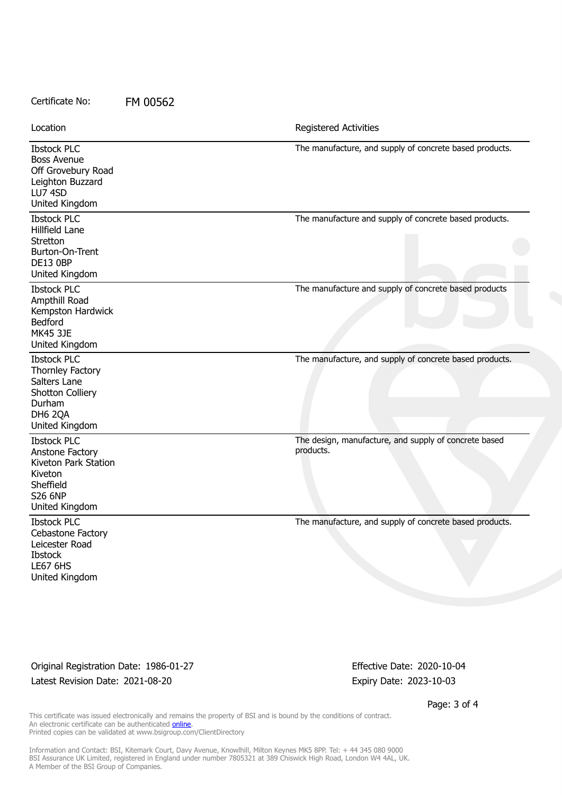#### Certificate No: FM 00562

| Location                                                                                                                  | Registered Activities                                              |
|---------------------------------------------------------------------------------------------------------------------------|--------------------------------------------------------------------|
| <b>Ibstock PLC</b><br><b>Boss Avenue</b><br>Off Grovebury Road<br>Leighton Buzzard<br>LU7 4SD<br>United Kingdom           | The manufacture, and supply of concrete based products.            |
| <b>Ibstock PLC</b><br>Hillfield Lane<br>Stretton<br>Burton-On-Trent<br><b>DE13 0BP</b><br>United Kingdom                  | The manufacture and supply of concrete based products.             |
| <b>Ibstock PLC</b><br>Ampthill Road<br>Kempston Hardwick<br>Bedford<br><b>MK45 3JE</b><br>United Kingdom                  | The manufacture and supply of concrete based products              |
| <b>Ibstock PLC</b><br>Thornley Factory<br>Salters Lane<br>Shotton Colliery<br><b>Durham</b><br>DH6 2QA<br>United Kingdom  | The manufacture, and supply of concrete based products.            |
| <b>Ibstock PLC</b><br>Anstone Factory<br>Kiveton Park Station<br>Kiveton<br>Sheffield<br><b>S26 6NP</b><br>United Kingdom | The design, manufacture, and supply of concrete based<br>products. |
| <b>Ibstock PLC</b><br>Cebastone Factory<br>Leicester Road<br><b>Ibstock</b><br><b>LE67 6HS</b><br>United Kingdom          | The manufacture, and supply of concrete based products.            |

Original Registration Date: 1986-01-27 Effective Date: 2020-10-04 Latest Revision Date: 2021-08-20 **Expiry Date: 2023-10-03** 

Page: 3 of 4

This certificate was issued electronically and remains the property of BSI and is bound by the conditions of contract. An electronic certificate can be authenticated **[online](https://pgplus.bsigroup.com/CertificateValidation/CertificateValidator.aspx?CertificateNumber=FM+00562&ReIssueDate=20%2f08%2f2021&Template=uk)**. Printed copies can be validated at www.bsigroup.com/ClientDirectory